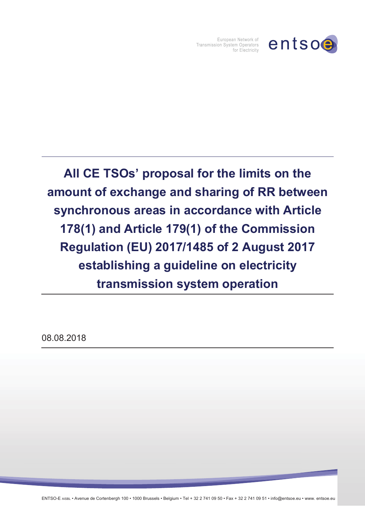

European Network of **Transmission System Operators** for Electricity

**All CE TSOsí proposal for the limits on the amount of exchange and sharing of RR between synchronous areas in accordance with Article 178(1) and Article 179(1) of the Commission Regulation (EU) 2017/1485 of 2 August 2017 establishing a guideline on electricity transmission system operation** 

08.08.2018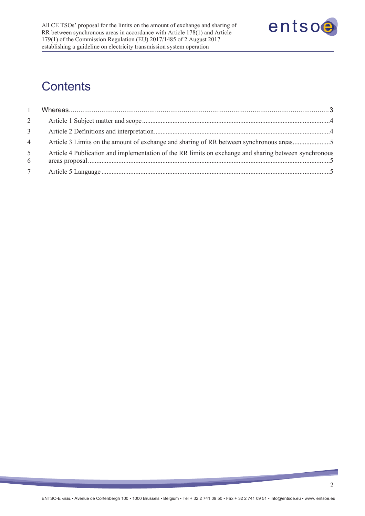

# **Contents**

| $\mathbf{1}$        |                                                                                                       |  |
|---------------------|-------------------------------------------------------------------------------------------------------|--|
| $\overline{2}$      |                                                                                                       |  |
| 3 <sup>7</sup>      |                                                                                                       |  |
| $\overline{4}$      | Article 3 Limits on the amount of exchange and sharing of RR between synchronous areas5               |  |
| 5 <sup>5</sup><br>6 | Article 4 Publication and implementation of the RR limits on exchange and sharing between synchronous |  |
| $7\overline{ }$     |                                                                                                       |  |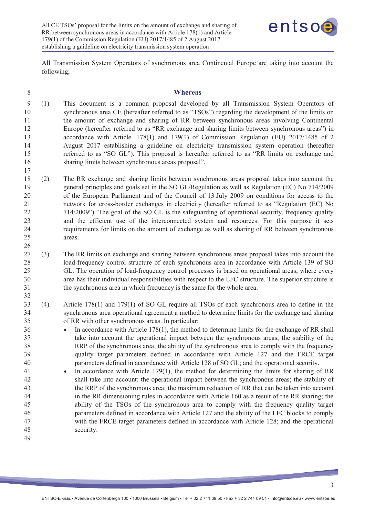17

26

32



All Transmission System Operators of synchronous area Continental Europe are taking into account the following;

| 8 | <b>Whereas</b> |
|---|----------------|
|   |                |

- 9 (1) This document is a common proposal developed by all Transmission System Operators of 10 synchronous area CE (hereafter referred to as "TSOs") regarding the development of the limits on 11 the amount of exchange and sharing of RR between synchronous areas involving Continental 12 Europe (hereafter referred to as "RR exchange and sharing limits between synchronous areas") in 13 accordance with Article 178(1) and 179(1) of Commission Regulation (EU) 2017/1485 of 2 14 August 2017 establishing a guideline on electricity transmission system operation (hereafter 15 referred to as "SO GL"). This proposal is hereafter referred to as "RR limits on exchange and 16 sharing limits between synchronous areas proposal".
- 18 (2) The RR exchange and sharing limits between synchronous areas proposal takes into account the 19 general principles and goals set in the SO GL/Regulation as well as Regulation (EC) No 714/2009 20 of the European Parliament and of the Council of 13 July 2009 on conditions for access to the 21 network for cross-border exchanges in electricity (hereafter referred to as "Regulation (EC) No 22 714/2009"). The goal of the SO GL is the safeguarding of operational security, frequency quality 23 and the efficient use of the interconnected system and resources. For this purpose it sets 24 requirements for limits on the amount of exchange as well as sharing of RR between synchronous 25 areas.
- 27 (3) The RR limits on exchange and sharing between synchronous areas proposal takes into account the 28 load-frequency control structure of each synchronous area in accordance with Article 139 of SO 29 GL. The operation of load-frequency control processes is based on operational areas, where every 30 area has their individual responsibilities with respect to the LFC structure. The superior structure is 31 the synchronous area in which frequency is the same for the whole area.
- 33 (4) Article 178(1) and 179(1) of SO GL require all TSOs of each synchronous area to define in the 34 synchronous area operational agreement a method to determine limits for the exchange and sharing 35 of RR with other synchronous areas. In particular:
- <sup>36</sup> · In accordance with Article 178(1), the method to determine limits for the exchange of RR shall 37 take into account the operational impact between the synchronous areas; the stability of the 38 RRP of the synchronous area; the ability of the synchronous area to comply with the frequency 39 quality target parameters defined in accordance with Article 127 and the FRCE target 40 parameters defined in accordance with Article 128 of SO GL; and the operational security.
- 41 In accordance with Article 179(1), the method for determining the limits for sharing of RR 42 shall take into account: the operational impact between the synchronous areas; the stability of 43 the RRP of the synchronous area; the maximum reduction of RR that can be taken into account 44 in the RR dimensioning rules in accordance with Article 160 as a result of the RR sharing; the 45 ability of the TSOs of the synchronous area to comply with the frequency quality target 46 parameters defined in accordance with Article 127 and the ability of the LFC blocks to comply 47 with the FRCE target parameters defined in accordance with Article 128; and the operational 48 security. 49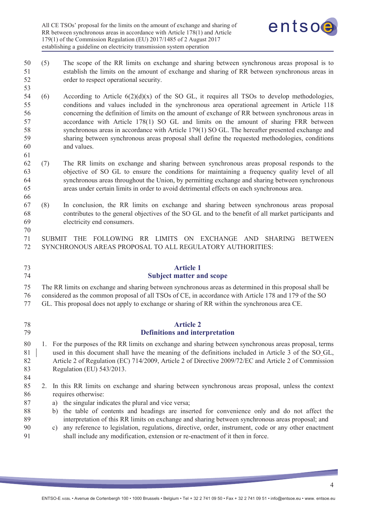

- 50 (5) The scope of the RR limits on exchange and sharing between synchronous areas proposal is to 51 establish the limits on the amount of exchange and sharing of RR between synchronous areas in 52 order to respect operational security.
- 54 (6) According to Article  $6(2)(d)(x)$  of the SO GL, it requires all TSOs to develop methodologies, 55 conditions and values included in the synchronous area operational agreement in Article 118 56 concerning the definition of limits on the amount of exchange of RR between synchronous areas in 57 accordance with Article 178(1) SO GL and limits on the amount of sharing FRR between 58 synchronous areas in accordance with Article 179(1) SO GL. The hereafter presented exchange and 59 sharing between synchronous areas proposal shall define the requested methodologies, conditions 60 and values.
- 62 (7) The RR limits on exchange and sharing between synchronous areas proposal responds to the 63 objective of SO GL to ensure the conditions for maintaining a frequency quality level of all 64 synchronous areas throughout the Union, by permitting exchange and sharing between synchronous 65 areas under certain limits in order to avoid detrimental effects on each synchronous area.
- 67 (8) In conclusion, the RR limits on exchange and sharing between synchronous areas proposal 68 contributes to the general objectives of the SO GL and to the benefit of all market participants and 69 electricity end consumers.
- 71 SUBMIT THE FOLLOWING RR LIMITS ON EXCHANGE AND SHARING BETWEEN 72 SYNCHRONOUS AREAS PROPOSAL TO ALL REGULATORY AUTHORITIES:

## 73 **Article 1**  74 **Subject matter and scope**

75 The RR limits on exchange and sharing between synchronous areas as determined in this proposal shall be

76 considered as the common proposal of all TSOs of CE, in accordance with Article 178 and 179 of the SO

- 77 GL. This proposal does not apply to exchange or sharing of RR within the synchronous area CE.
- 

53

61

66

70

### 78 **Article 2**  79 **Definitions and interpretation**

- 80 1. For the purposes of the RR limits on exchange and sharing between synchronous areas proposal, terms 81 used in this document shall have the meaning of the definitions included in Article 3 of the SO GL, 82 Article 2 of Regulation (EC) 714/2009, Article 2 of Directive 2009/72/EC and Article 2 of Commission 83 Regulation (EU) 543/2013.
- 84
- 85 2. In this RR limits on exchange and sharing between synchronous areas proposal, unless the context 86 requires otherwise:
- 87 a) the singular indicates the plural and vice versa;
- 88 b) the table of contents and headings are inserted for convenience only and do not affect the 89 interpretation of this RR limits on exchange and sharing between synchronous areas proposal; and
- 90 c) any reference to legislation, regulations, directive, order, instrument, code or any other enactment 91 shall include any modification, extension or re-enactment of it then in force.